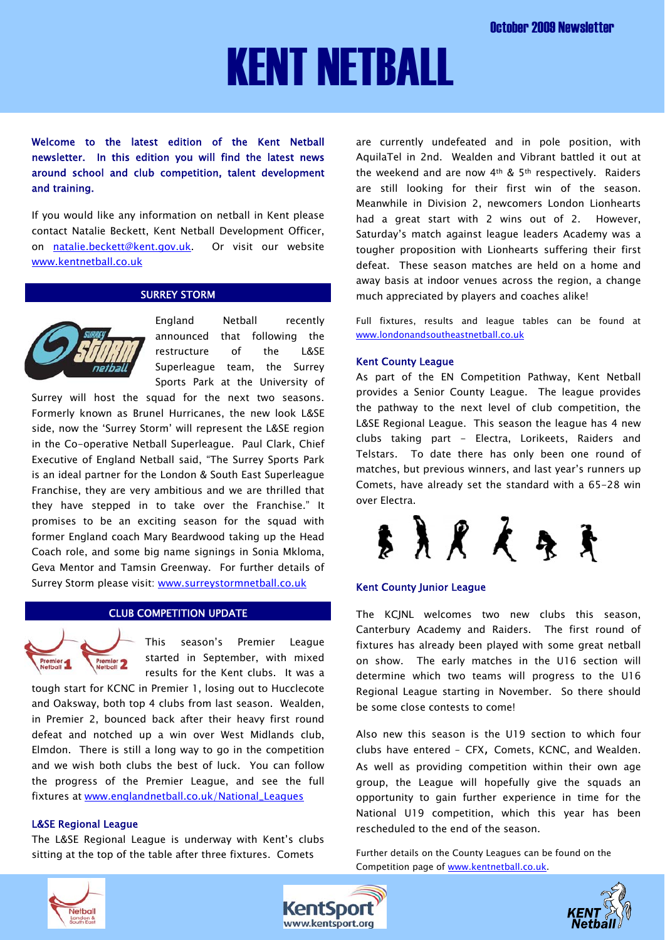# KENT NETBALL

Welcome to the latest edition of the Kent Netball newsletter. In this edition you will find the latest news around school and club competition, talent development and training.

If you would like any information on netball in Kent please contact Natalie Beckett, Kent Netball Development Officer, on [natalie.beckett@kent.gov.uk](mailto:natalie.beckett@kent.gov.uk). Or visit our website [www.kentnetball.co.uk](http://www.kentnetball.co.uk/)

# SURREY STORM



England Netball recently announced that following the restructure of the L&SE Superleague team, the Surrey Sports Park at the University of

Surrey will host the squad for the next two seasons. Formerly known as Brunel Hurricanes, the new look L&SE side, now the 'Surrey Storm' will represent the L&SE region in the Co-operative Netball Superleague. Paul Clark, Chief Executive of England Netball said, "The Surrey Sports Park is an ideal partner for the London & South East Superleague Franchise, they are very ambitious and we are thrilled that they have stepped in to take over the Franchise." It promises to be an exciting season for the squad with former England coach Mary Beardwood taking up the Head Coach role, and some big name signings in Sonia Mkloma, Geva Mentor and Tamsin Greenway. For further details of Surrey Storm please visit: [www.surreystormnetball.co.uk](http://www.surreystormnetball.co.uk/)

# CLUB COMPETITION UPDATE



This season's Premier League started in September, with mixed results for the Kent clubs. It was a

tough start for KCNC in Premier 1, losing out to Hucclecote and Oaksway, both top 4 clubs from last season. Wealden, in Premier 2, bounced back after their heavy first round defeat and notched up a win over West Midlands club, Elmdon. There is still a long way to go in the competition and we wish both clubs the best of luck. You can follow the progress of the Premier League, and see the full fixtures at [www.englandnetball.co.uk/National\\_Leagues](http://www.englandnetball.co.uk/National_Leagues)

# L&SE Regional League

The L&SE Regional League is underway with Kent's clubs sitting at the top of the table after three fixtures. Comets

are currently undefeated and in pole position, with AquilaTel in 2nd. Wealden and Vibrant battled it out at the weekend and are now 4th & 5th respectively. Raiders are still looking for their first win of the season. Meanwhile in Division 2, newcomers London Lionhearts had a great start with 2 wins out of 2. However, Saturday's match against league leaders Academy was a tougher proposition with Lionhearts suffering their first defeat. These season matches are held on a home and away basis at indoor venues across the region, a change much appreciated by players and coaches alike!

Full fixtures, results and league tables can be found at [www.londonandsoutheastnetball.co.uk](http://www.londonandsoutheastnetball.co.uk/)

#### Kent County League

As part of the EN Competition Pathway, Kent Netball provides a Senior County League. The league provides the pathway to the next level of club competition, the L&SE Regional League. This season the league has 4 new clubs taking part - Electra, Lorikeets, Raiders and Telstars. To date there has only been one round of matches, but previous winners, and last year's runners up Comets, have already set the standard with a 65-28 win over Electra.



# Kent County Junior League

The KCJNL welcomes two new clubs this season, Canterbury Academy and Raiders. The first round of fixtures has already been played with some great netball on show. The early matches in the U16 section will determine which two teams will progress to the U16 Regional League starting in November. So there should be some close contests to come!

Also new this season is the U19 section to which four clubs have entered – CFX, Comets, KCNC, and Wealden. As well as providing competition within their own age group, the League will hopefully give the squads an opportunity to gain further experience in time for the National U19 competition, which this year has been rescheduled to the end of the season.

Further details on the County Leagues can be found on the Competition page of [www.kentnetball.co.uk](http://www.kentnetball.co.uk/).





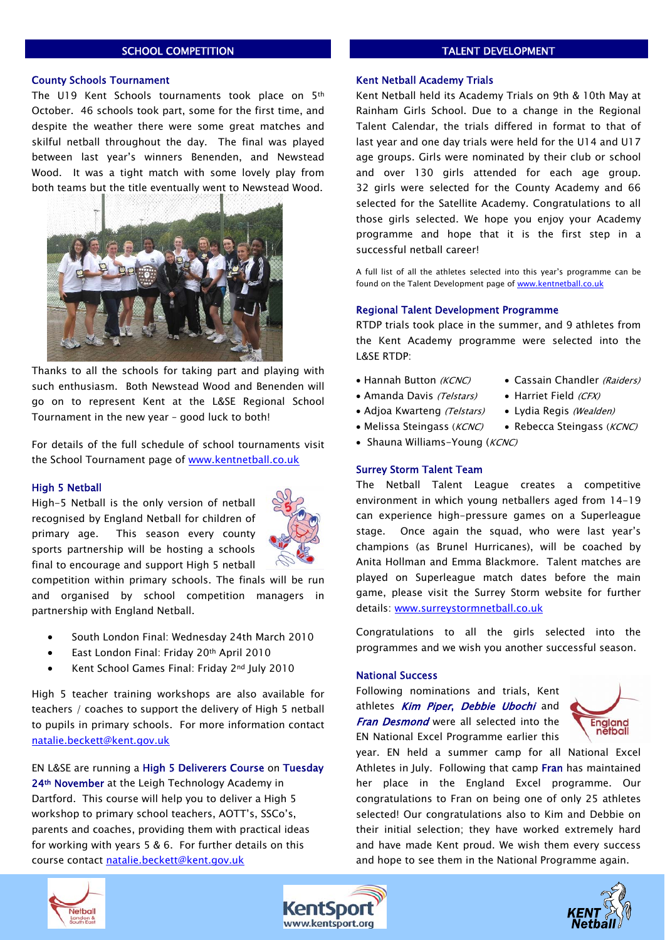# SCHOOL COMPETITION

#### County Schools Tournament

The U19 Kent Schools tournaments took place on 5th October. 46 schools took part, some for the first time, and despite the weather there were some great matches and skilful netball throughout the day. The final was played between last year's winners Benenden, and Newstead Wood. It was a tight match with some lovely play from both teams but the title eventually went to Newstead Wood.



Thanks to all the schools for taking part and playing with such enthusiasm. Both Newstead Wood and Benenden will go on to represent Kent at the L&SE Regional School Tournament in the new year – good luck to both!

For details of the full schedule of school tournaments visit the School Tournament page of [www.kentnetball.co.uk](http://www.kentnetball.co.uk/)

#### High 5 Netball

High-5 Netball is the only version of netball recognised by England Netball for children of primary age. This season every county sports partnership will be hosting a schools final to encourage and support High 5 netball



competition within primary schools. The finals will be run and organised by school competition managers in partnership with England Netball.

- South London Final: Wednesday 24th March 2010
- East London Final: Friday 20th April 2010
- Kent School Games Final: Friday 2nd July 2010

High 5 teacher training workshops are also available for teachers / coaches to support the delivery of High 5 netball to pupils in primary schools. For more information contact [natalie.beckett@kent.gov.uk](mailto:natalie.beckett@kent.gov.uk) 

EN L&SE are running a High 5 Deliverers Course on Tuesday 24<sup>th</sup> November at the Leigh Technology Academy in Dartford. This course will help you to deliver a High 5 workshop to primary school teachers, AOTT's, SSCo's, parents and coaches, providing them with practical ideas for working with years 5 & 6. For further details on this course contact [natalie.beckett@kent.gov.uk](mailto:natalie.beckett@kent.gov.uk) 

#### TALENT DEVELOPMENT

#### Kent Netball Academy Trials

Kent Netball held its Academy Trials on 9th & 10th May at Rainham Girls School. Due to a change in the Regional Talent Calendar, the trials differed in format to that of last year and one day trials were held for the U14 and U17 age groups. Girls were nominated by their club or school and over 130 girls attended for each age group. 32 girls were selected for the County Academy and 66 selected for the Satellite Academy. Congratulations to all those girls selected. We hope you enjoy your Academy programme and hope that it is the first step in a successful netball career!

A full list of all the athletes selected into this year's programme can be found on the Talent Development page of [www.kentnetball.co.uk](http://www.kentnetball.co.uk/)

#### Regional Talent Development Programme

RTDP trials took place in the summer, and 9 athletes from the Kent Academy programme were selected into the L&SE RTDP:

- Hannah Button (KCNC) Cassain Chandler (Raiders)
- Amanda Davis (Telstars) Harriet Field (CFX)
	-
- Adioa Kwarteng *(Telstars)* Lydia Regis (Wealden)
- Melissa Steingass (KCNC) Rebecca Steingass (KCNC)
- Shauna Williams-Young ( $KCNC$ )

#### Surrey Storm Talent Team

The Netball Talent League creates a competitive environment in which young netballers aged from 14-19 can experience high-pressure games on a Superleague stage. Once again the squad, who were last year's champions (as Brunel Hurricanes), will be coached by Anita Hollman and Emma Blackmore. Talent matches are played on Superleague match dates before the main game, please visit the Surrey Storm website for further details: [www.surreystormnetball.co.uk](http://www.surreystormnetball.co.uk/)

Congratulations to all the girls selected into the programmes and we wish you another successful season.

#### National Success

Following nominations and trials, Kent athletes Kim Piper, Debbie Ubochi and **Fran Desmond** were all selected into the EN National Excel Programme earlier this



year. EN held a summer camp for all National Excel Athletes in July. Following that camp Fran has maintained her place in the England Excel programme. Our congratulations to Fran on being one of only 25 athletes selected! Our congratulations also to Kim and Debbie on their initial selection; they have worked extremely hard and have made Kent proud. We wish them every success and hope to see them in the National Programme again.





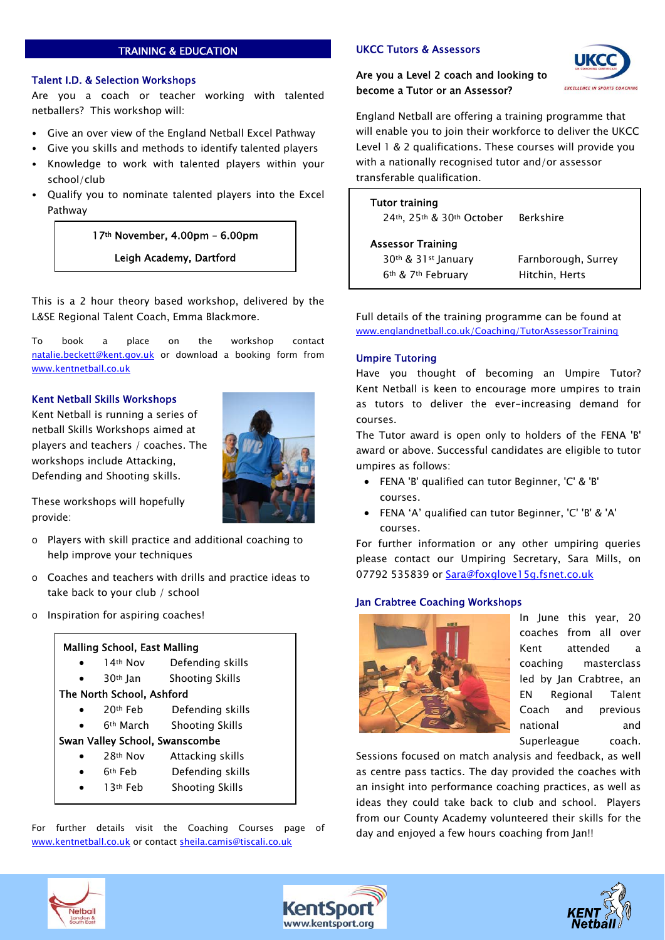# TRAINING & EDUCATION

# Talent I.D. & Selection Workshops

Are you a coach or teacher working with talented netballers? This workshop will:

- Give an over view of the England Netball Excel Pathway
- Give you skills and methods to identify talented players
- Knowledge to work with talented players within your school/club
- Qualify you to nominate talented players into the Excel Pathway

 17th November, 4.00pm – 6.00pm Leigh Academy, Dartford

This is a 2 hour theory based workshop, delivered by the L&SE Regional Talent Coach, Emma Blackmore.

To book a place on the workshop contact [natalie.beckett@kent.gov.uk](mailto:natalie.beckett@kent.gov.uk) or download a booking form from [www.kentnetball.co.uk](http://www.kentnetball.co.uk/)

# Kent Netball Skills Workshops

Kent Netball is running a series of netball Skills Workshops aimed at players and teachers / coaches. The workshops include Attacking, Defending and Shooting skills.



These workshops will hopefully provide:

- o Players with skill practice and additional coaching to help improve your techniques
- o Coaches and teachers with drills and practice ideas to take back to your club / school
- o Inspiration for aspiring coaches!

# Malling School, East Malling

- 14th Nov Defending skills
- 30th Jan Shooting Skills

# The North School, Ashford

- 20th Feb Defending skills
- 6th March Shooting Skills

# Swan Valley School, Swanscombe

- 28<sup>th</sup> Nov Attacking skills
- 6th Feb Defending skills
- 13th Feb Shooting Skills

For further details visit the Coaching Courses page of [www.kentnetball.co.uk](http://www.kentnetball.co.uk/) or contact [sheila.camis@tiscali.co.uk](mailto:sheila.camis@tiscali.co.uk)

# UKCC Tutors & Assessors

# Are you a Level 2 coach and looking to become a Tutor or an Assessor?



England Netball are offering a training programme that will enable you to join their workforce to deliver the UKCC Level 1 & 2 qualifications. These courses will provide you with a nationally recognised tutor and/or assessor transferable qualification.

# Tutor training 24th, 25th & 30th October Berkshire Assessor Training 30th & 31st January Farnborough, Surrey 6th & 7th February Hitchin, Herts

Full details of the training programme can be found at [www.englandnetball.co.uk/Coaching/TutorAssessorTraining](http://www.englandnetball.co.uk/Coaching/TutorAssessorTraining)

# Umpire Tutoring

Have you thought of becoming an Umpire Tutor? Kent Netball is keen to encourage more umpires to train as tutors to deliver the ever-increasing demand for courses.

The Tutor award is open only to holders of the FENA 'B' award or above. Successful candidates are eligible to tutor umpires as follows:

- FENA 'B' qualified can tutor Beginner, 'C' & 'B' courses.
- FENA 'A' qualified can tutor Beginner, 'C' 'B' & 'A' courses.

For further information or any other umpiring queries please contact our Umpiring Secretary, Sara Mills, on 07792 535839 or [Sara@foxglove15g.fsnet.co.uk](mailto:Sara@foxglove15g.fsnet.co.uk)

# Jan Crabtree Coaching Workshops



In June this year, 20 coaches from all over Kent attended a coaching masterclass led by Jan Crabtree, an EN Regional Talent Coach and previous national and Superleague coach.

Sessions focused on match analysis and feedback, as well as centre pass tactics. The day provided the coaches with an insight into performance coaching practices, as well as ideas they could take back to club and school. Players from our County Academy volunteered their skills for the day and enjoyed a few hours coaching from Jan!!